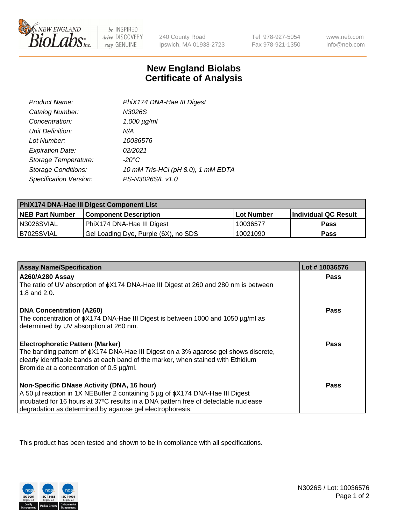

 $be$  INSPIRED drive DISCOVERY stay GENUINE

240 County Road Ipswich, MA 01938-2723 Tel 978-927-5054 Fax 978-921-1350

www.neb.com info@neb.com

## **New England Biolabs Certificate of Analysis**

| Product Name:              | PhiX174 DNA-Hae III Digest         |
|----------------------------|------------------------------------|
| Catalog Number:            | N3026S                             |
| Concentration:             | $1,000 \mu g/ml$                   |
| Unit Definition:           | N/A                                |
| Lot Number:                | 10036576                           |
| <b>Expiration Date:</b>    | 02/2021                            |
| Storage Temperature:       | $-20^{\circ}$ C                    |
| <b>Storage Conditions:</b> | 10 mM Tris-HCl (pH 8.0), 1 mM EDTA |
| Specification Version:     | PS-N3026S/L v1.0                   |

| PhiX174 DNA-Hae III Digest Component List |                                      |                   |                      |  |
|-------------------------------------------|--------------------------------------|-------------------|----------------------|--|
| <b>NEB Part Number</b>                    | <b>Component Description</b>         | <b>Lot Number</b> | Individual QC Result |  |
| N3026SVIAL                                | PhiX174 DNA-Hae III Digest           | 10036577          | <b>Pass</b>          |  |
| B7025SVIAL                                | Gel Loading Dye, Purple (6X), no SDS | 10021090          | <b>Pass</b>          |  |

| <b>Assay Name/Specification</b>                                                                                               | Lot #10036576 |
|-------------------------------------------------------------------------------------------------------------------------------|---------------|
| <b>A260/A280 Assay</b>                                                                                                        | <b>Pass</b>   |
| The ratio of UV absorption of $\phi$ X174 DNA-Hae III Digest at 260 and 280 nm is between<br>1.8 and 2.0.                     |               |
| <b>DNA Concentration (A260)</b>                                                                                               | Pass          |
| The concentration of $\phi$ X174 DNA-Hae III Digest is between 1000 and 1050 µg/ml as                                         |               |
| determined by UV absorption at 260 nm.                                                                                        |               |
| <b>Electrophoretic Pattern (Marker)</b>                                                                                       | Pass          |
| The banding pattern of $\phi$ X174 DNA-Hae III Digest on a 3% agarose gel shows discrete,                                     |               |
| clearly identifiable bands at each band of the marker, when stained with Ethidium<br>Bromide at a concentration of 0.5 µg/ml. |               |
|                                                                                                                               |               |
| Non-Specific DNase Activity (DNA, 16 hour)                                                                                    | Pass          |
| A 50 µl reaction in 1X NEBuffer 2 containing 5 µg of $\phi$ X174 DNA-Hae III Digest                                           |               |
| incubated for 16 hours at 37°C results in a DNA pattern free of detectable nuclease                                           |               |
| degradation as determined by agarose gel electrophoresis.                                                                     |               |

This product has been tested and shown to be in compliance with all specifications.